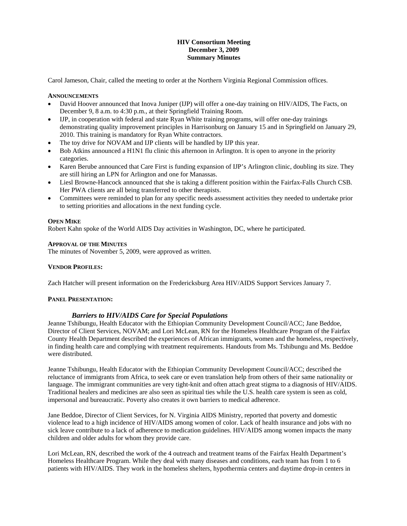# **HIV Consortium Meeting December 3, 2009 Summary Minutes**

Carol Jameson, Chair, called the meeting to order at the Northern Virginia Regional Commission offices.

### **ANNOUNCEMENTS**

- David Hoover announced that Inova Juniper (IJP) will offer a one-day training on HIV/AIDS, The Facts, on December 9, 8 a.m. to 4:30 p.m., at their Springfield Training Room.
- IJP, in cooperation with federal and state Ryan White training programs, will offer one-day trainings demonstrating quality improvement principles in Harrisonburg on January 15 and in Springfield on January 29, 2010. This training is mandatory for Ryan White contractors.
- The toy drive for NOVAM and IJP clients will be handled by IJP this year.
- Bob Atkins announced a H1N1 flu clinic this afternoon in Arlington. It is open to anyone in the priority categories.
- Karen Berube announced that Care First is funding expansion of IJP's Arlington clinic, doubling its size. They are still hiring an LPN for Arlington and one for Manassas.
- Liesl Browne-Hancock announced that she is taking a different position within the Fairfax-Falls Church CSB. Her PWA clients are all being transferred to other therapists.
- Committees were reminded to plan for any specific needs assessment activities they needed to undertake prior to setting priorities and allocations in the next funding cycle.

### **OPEN MIKE**

Robert Kahn spoke of the World AIDS Day activities in Washington, DC, where he participated.

### **APPROVAL OF THE MINUTES**

The minutes of November 5, 2009, were approved as written.

# **VENDOR PROFILES:**

Zach Hatcher will present information on the Fredericksburg Area HIV/AIDS Support Services January 7.

# **PANEL PRESENTATION:**

# *Barriers to HIV/AIDS Care for Special Populations*

Jeanne Tshibungu, Health Educator with the Ethiopian Community Development Council/ACC; Jane Beddoe, Director of Client Services, NOVAM; and Lori McLean, RN for the Homeless Healthcare Program of the Fairfax County Health Department described the experiences of African immigrants, women and the homeless, respectively, in finding health care and complying with treatment requirements. Handouts from Ms. Tshibungu and Ms. Beddoe were distributed.

Jeanne Tshibungu, Health Educator with the Ethiopian Community Development Council/ACC; described the reluctance of immigrants from Africa, to seek care or even translation help from others of their same nationality or language. The immigrant communities are very tight-knit and often attach great stigma to a diagnosis of HIV/AIDS. Traditional healers and medicines are also seen as spiritual ties while the U.S. health care system is seen as cold, impersonal and bureaucratic. Poverty also creates it own barriers to medical adherence.

Jane Beddoe, Director of Client Services, for N. Virginia AIDS Ministry, reported that poverty and domestic violence lead to a high incidence of HIV/AIDS among women of color. Lack of health insurance and jobs with no sick leave contribute to a lack of adherence to medication guidelines. HIV/AIDS among women impacts the many children and older adults for whom they provide care.

Lori McLean, RN, described the work of the 4 outreach and treatment teams of the Fairfax Health Department's Homeless Healthcare Program. While they deal with many diseases and conditions, each team has from 1 to 6 patients with HIV/AIDS. They work in the homeless shelters, hypothermia centers and daytime drop-in centers in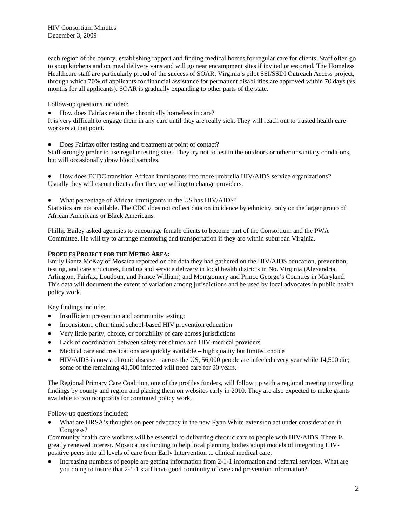each region of the county, establishing rapport and finding medical homes for regular care for clients. Staff often go to soup kitchens and on meal delivery vans and will go near encampment sites if invited or escorted. The Homeless Healthcare staff are particularly proud of the success of SOAR, Virginia's pilot SSI/SSDI Outreach Access project, through which 70% of applicants for financial assistance for permanent disabilities are approved within 70 days (vs. months for all applicants). SOAR is gradually expanding to other parts of the state.

Follow-up questions included:

How does Fairfax retain the chronically homeless in care?

It is very difficult to engage them in any care until they are really sick. They will reach out to trusted health care workers at that point.

Does Fairfax offer testing and treatment at point of contact?

Staff strongly prefer to use regular testing sites. They try not to test in the outdoors or other unsanitary conditions, but will occasionally draw blood samples.

 How does ECDC transition African immigrants into more umbrella HIV/AIDS service organizations? Usually they will escort clients after they are willing to change providers.

What percentage of African immigrants in the US has HIV/AIDS?

Statistics are not available. The CDC does not collect data on incidence by ethnicity, only on the larger group of African Americans or Black Americans.

Phillip Bailey asked agencies to encourage female clients to become part of the Consortium and the PWA Committee. He will try to arrange mentoring and transportation if they are within suburban Virginia.

# **PROFILES PROJECT FOR THE METRO AREA:**

Emily Gantz McKay of Mosaica reported on the data they had gathered on the HIV/AIDS education, prevention, testing, and care structures, funding and service delivery in local health districts in No. Virginia (Alexandria, Arlington, Fairfax, Loudoun, and Prince William) and Montgomery and Prince George's Counties in Maryland. This data will document the extent of variation among jurisdictions and be used by local advocates in public health policy work.

Key findings include:

- Insufficient prevention and community testing;
- Inconsistent, often timid school-based HIV prevention education
- Very little parity, choice, or portability of care across jurisdictions
- Lack of coordination between safety net clinics and HIV-medical providers
- Medical care and medications are quickly available high quality but limited choice
- HIV/AIDS is now a chronic disease across the US, 56,000 people are infected every year while 14,500 die; some of the remaining 41,500 infected will need care for 30 years.

The Regional Primary Care Coalition, one of the profiles funders, will follow up with a regional meeting unveiling findings by county and region and placing them on websites early in 2010. They are also expected to make grants available to two nonprofits for continued policy work.

Follow-up questions included:

 What are HRSA's thoughts on peer advocacy in the new Ryan White extension act under consideration in Congress?

Community health care workers will be essential to delivering chronic care to people with HIV/AIDS. There is greatly renewed interest. Mosaica has funding to help local planning bodies adopt models of integrating HIVpositive peers into all levels of care from Early Intervention to clinical medical care.

 Increasing numbers of people are getting information from 2-1-1 information and referral services. What are you doing to insure that 2-1-1 staff have good continuity of care and prevention information?